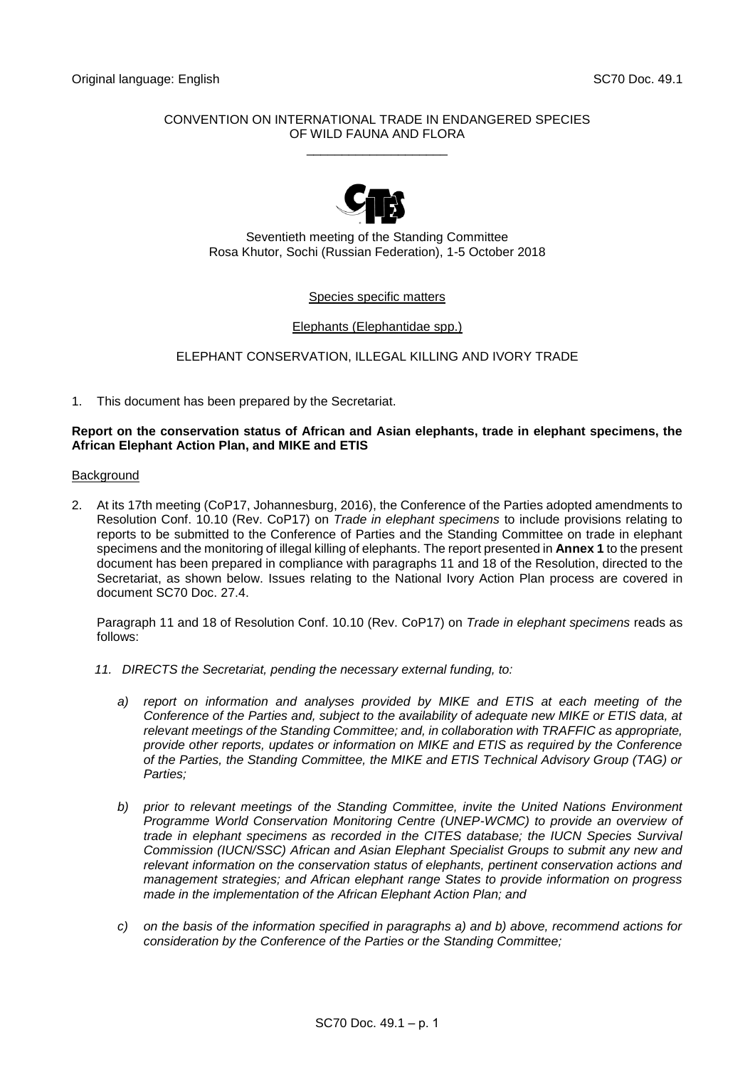## CONVENTION ON INTERNATIONAL TRADE IN ENDANGERED SPECIES OF WILD FAUNA AND FLORA \_\_\_\_\_\_\_\_\_\_\_\_\_\_\_\_\_\_\_\_



Seventieth meeting of the Standing Committee Rosa Khutor, Sochi (Russian Federation), 1-5 October 2018

# Species specific matters

## Elephants (Elephantidae spp.)

# ELEPHANT CONSERVATION, ILLEGAL KILLING AND IVORY TRADE

1. This document has been prepared by the Secretariat.

### **Report on the conservation status of African and Asian elephants, trade in elephant specimens, the African Elephant Action Plan, and MIKE and ETIS**

#### Background

2. At its 17th meeting (CoP17, Johannesburg, 2016), the Conference of the Parties adopted amendments to Resolution Conf. 10.10 (Rev. CoP17) on *Trade in elephant specimens* to include provisions relating to reports to be submitted to the Conference of Parties and the Standing Committee on trade in elephant specimens and the monitoring of illegal killing of elephants. The report presented in **Annex 1** to the present document has been prepared in compliance with paragraphs 11 and 18 of the Resolution, directed to the Secretariat, as shown below. Issues relating to the National Ivory Action Plan process are covered in document SC70 Doc. 27.4.

Paragraph 11 and 18 of Resolution Conf. 10.10 (Rev. CoP17) on *Trade in elephant specimens* reads as follows:

- *11. DIRECTS the Secretariat, pending the necessary external funding, to:* 
	- *a) report on information and analyses provided by MIKE and ETIS at each meeting of the Conference of the Parties and, subject to the availability of adequate new MIKE or ETIS data, at relevant meetings of the Standing Committee; and, in collaboration with TRAFFIC as appropriate, provide other reports, updates or information on MIKE and ETIS as required by the Conference of the Parties, the Standing Committee, the MIKE and ETIS Technical Advisory Group (TAG) or Parties;*
	- *b) prior to relevant meetings of the Standing Committee, invite the United Nations Environment Programme World Conservation Monitoring Centre (UNEP-WCMC) to provide an overview of trade in elephant specimens as recorded in the CITES database; the IUCN Species Survival Commission (IUCN/SSC) African and Asian Elephant Specialist Groups to submit any new and relevant information on the conservation status of elephants, pertinent conservation actions and management strategies; and African elephant range States to provide information on progress made in the implementation of the African Elephant Action Plan; and*
	- *c) on the basis of the information specified in paragraphs a) and b) above, recommend actions for consideration by the Conference of the Parties or the Standing Committee;*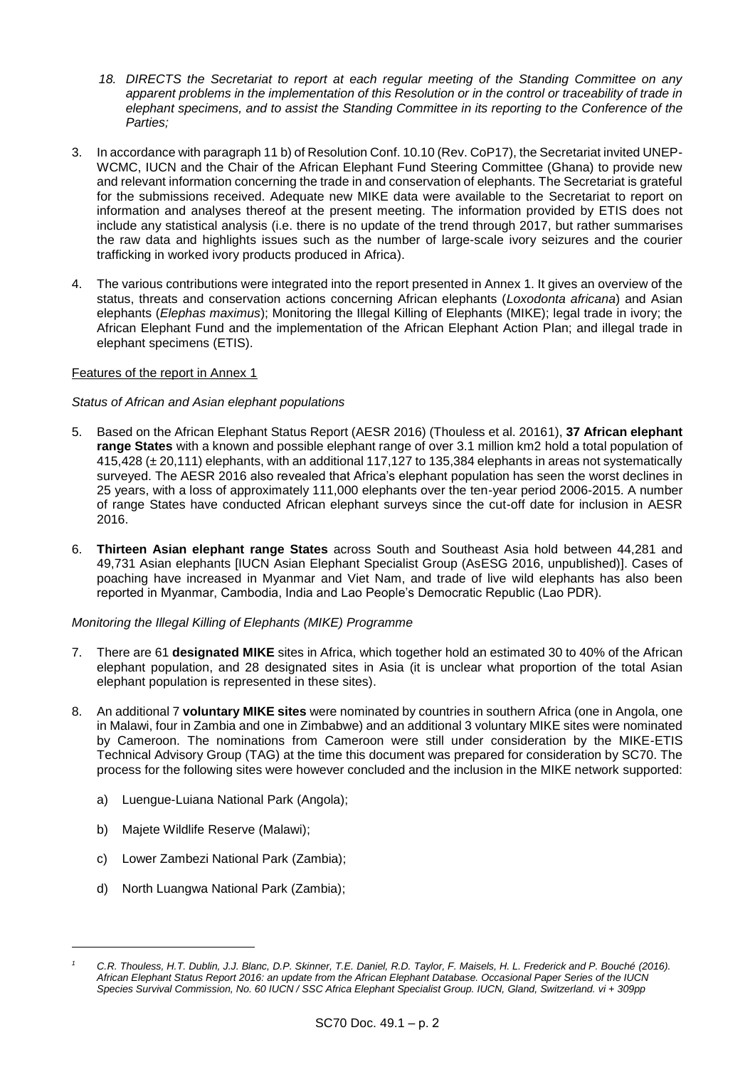- *18. DIRECTS the Secretariat to report at each regular meeting of the Standing Committee on any apparent problems in the implementation of this Resolution or in the control or traceability of trade in elephant specimens, and to assist the Standing Committee in its reporting to the Conference of the Parties;*
- 3. In accordance with paragraph 11 b) of Resolution Conf. 10.10 (Rev. CoP17), the Secretariat invited UNEP-WCMC, IUCN and the Chair of the African Elephant Fund Steering Committee (Ghana) to provide new and relevant information concerning the trade in and conservation of elephants. The Secretariat is grateful for the submissions received. Adequate new MIKE data were available to the Secretariat to report on information and analyses thereof at the present meeting. The information provided by ETIS does not include any statistical analysis (i.e. there is no update of the trend through 2017, but rather summarises the raw data and highlights issues such as the number of large-scale ivory seizures and the courier trafficking in worked ivory products produced in Africa).
- 4. The various contributions were integrated into the report presented in Annex 1. It gives an overview of the status, threats and conservation actions concerning African elephants (*Loxodonta africana*) and Asian elephants (*Elephas maximus*); Monitoring the Illegal Killing of Elephants (MIKE); legal trade in ivory; the African Elephant Fund and the implementation of the African Elephant Action Plan; and illegal trade in elephant specimens (ETIS).

# Features of the report in Annex 1

## *Status of African and Asian elephant populations*

- 5. Based on the African Elephant Status Report (AESR 2016) (Thouless et al. 20161), **37 African elephant range States** with a known and possible elephant range of over 3.1 million km2 hold a total population of 415,428 (± 20,111) elephants, with an additional 117,127 to 135,384 elephants in areas not systematically surveyed. The AESR 2016 also revealed that Africa's elephant population has seen the worst declines in 25 years, with a loss of approximately 111,000 elephants over the ten-year period 2006-2015. A number of range States have conducted African elephant surveys since the cut-off date for inclusion in AESR 2016.
- 6. **Thirteen Asian elephant range States** across South and Southeast Asia hold between 44,281 and 49,731 Asian elephants [IUCN Asian Elephant Specialist Group (AsESG 2016, unpublished)]. Cases of poaching have increased in Myanmar and Viet Nam, and trade of live wild elephants has also been reported in Myanmar, Cambodia, India and Lao People's Democratic Republic (Lao PDR).

# *Monitoring the Illegal Killing of Elephants (MIKE) Programme*

- 7. There are 61 **designated MIKE** sites in Africa, which together hold an estimated 30 to 40% of the African elephant population, and 28 designated sites in Asia (it is unclear what proportion of the total Asian elephant population is represented in these sites).
- 8. An additional 7 **voluntary MIKE sites** were nominated by countries in southern Africa (one in Angola, one in Malawi, four in Zambia and one in Zimbabwe) and an additional 3 voluntary MIKE sites were nominated by Cameroon. The nominations from Cameroon were still under consideration by the MIKE-ETIS Technical Advisory Group (TAG) at the time this document was prepared for consideration by SC70. The process for the following sites were however concluded and the inclusion in the MIKE network supported:
	- a) Luengue-Luiana National Park (Angola);
	- b) Majete Wildlife Reserve (Malawi);

1

- c) Lower Zambezi National Park (Zambia);
- d) North Luangwa National Park (Zambia);

*<sup>1</sup> C.R. Thouless, H.T. Dublin, J.J. Blanc, D.P. Skinner, T.E. Daniel, R.D. Taylor, F. Maisels, H. L. Frederick and P. Bouché (2016). African Elephant Status Report 2016: an update from the African Elephant Database. Occasional Paper Series of the IUCN Species Survival Commission, No. 60 IUCN / SSC Africa Elephant Specialist Group. IUCN, Gland, Switzerland. vi + 309pp*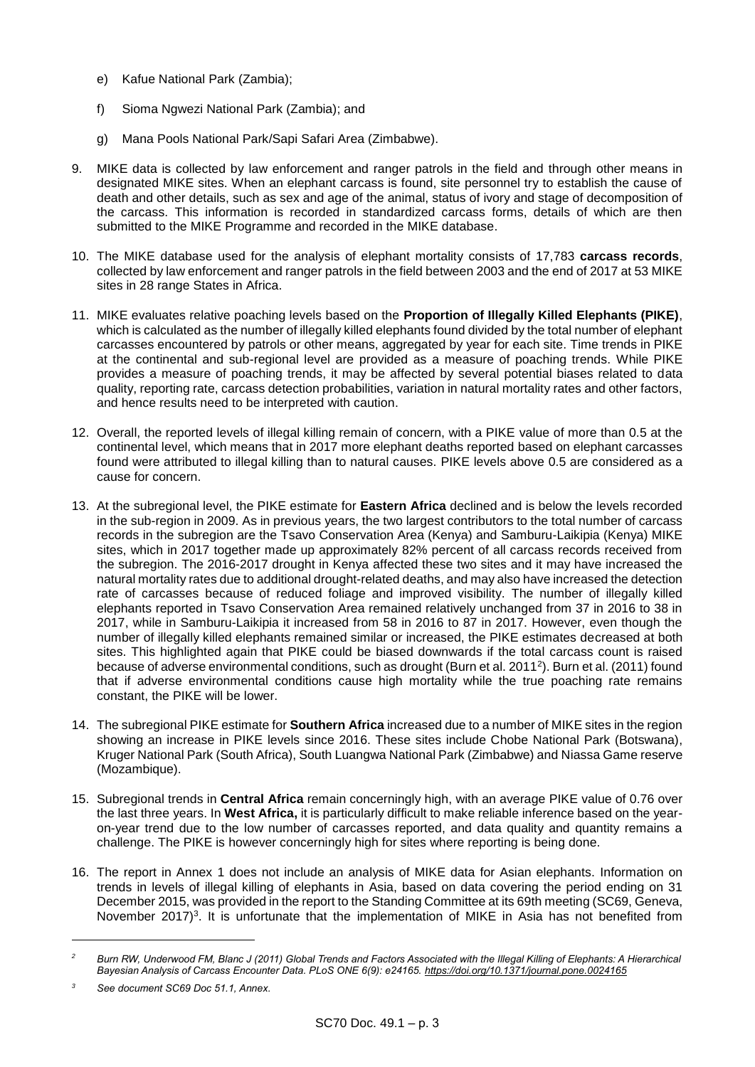- e) Kafue National Park (Zambia);
- f) Sioma Ngwezi National Park (Zambia); and
- g) Mana Pools National Park/Sapi Safari Area (Zimbabwe).
- 9. MIKE data is collected by law enforcement and ranger patrols in the field and through other means in designated MIKE sites. When an elephant carcass is found, site personnel try to establish the cause of death and other details, such as sex and age of the animal, status of ivory and stage of decomposition of the carcass. This information is recorded in standardized carcass forms, details of which are then submitted to the MIKE Programme and recorded in the MIKE database.
- 10. The MIKE database used for the analysis of elephant mortality consists of 17,783 **carcass records**, collected by law enforcement and ranger patrols in the field between 2003 and the end of 2017 at 53 MIKE sites in 28 range States in Africa.
- 11. MIKE evaluates relative poaching levels based on the **Proportion of Illegally Killed Elephants (PIKE)**, which is calculated as the number of illegally killed elephants found divided by the total number of elephant carcasses encountered by patrols or other means, aggregated by year for each site. Time trends in PIKE at the continental and sub-regional level are provided as a measure of poaching trends. While PIKE provides a measure of poaching trends, it may be affected by several potential biases related to data quality, reporting rate, carcass detection probabilities, variation in natural mortality rates and other factors, and hence results need to be interpreted with caution.
- 12. Overall, the reported levels of illegal killing remain of concern, with a PIKE value of more than 0.5 at the continental level, which means that in 2017 more elephant deaths reported based on elephant carcasses found were attributed to illegal killing than to natural causes. PIKE levels above 0.5 are considered as a cause for concern.
- 13. At the subregional level, the PIKE estimate for **Eastern Africa** declined and is below the levels recorded in the sub-region in 2009. As in previous years, the two largest contributors to the total number of carcass records in the subregion are the Tsavo Conservation Area (Kenya) and Samburu-Laikipia (Kenya) MIKE sites, which in 2017 together made up approximately 82% percent of all carcass records received from the subregion. The 2016-2017 drought in Kenya affected these two sites and it may have increased the natural mortality rates due to additional drought-related deaths, and may also have increased the detection rate of carcasses because of reduced foliage and improved visibility. The number of illegally killed elephants reported in Tsavo Conservation Area remained relatively unchanged from 37 in 2016 to 38 in 2017, while in Samburu-Laikipia it increased from 58 in 2016 to 87 in 2017. However, even though the number of illegally killed elephants remained similar or increased, the PIKE estimates decreased at both sites. This highlighted again that PIKE could be biased downwards if the total carcass count is raised because of adverse environmental conditions, such as drought (Burn et al. 2011<sup>2</sup>). Burn et al. (2011) found that if adverse environmental conditions cause high mortality while the true poaching rate remains constant, the PIKE will be lower.
- 14. The subregional PIKE estimate for **Southern Africa** increased due to a number of MIKE sites in the region showing an increase in PIKE levels since 2016. These sites include Chobe National Park (Botswana), Kruger National Park (South Africa), South Luangwa National Park (Zimbabwe) and Niassa Game reserve (Mozambique).
- 15. Subregional trends in **Central Africa** remain concerningly high, with an average PIKE value of 0.76 over the last three years. In **West Africa,** it is particularly difficult to make reliable inference based on the yearon-year trend due to the low number of carcasses reported, and data quality and quantity remains a challenge. The PIKE is however concerningly high for sites where reporting is being done.
- 16. The report in Annex 1 does not include an analysis of MIKE data for Asian elephants. Information on trends in levels of illegal killing of elephants in Asia, based on data covering the period ending on 31 December 2015, was provided in the report to the Standing Committee at its 69th meeting (SC69, Geneva, November 2017)<sup>3</sup>. It is unfortunate that the implementation of MIKE in Asia has not benefited from

1

*<sup>2</sup> Burn RW, Underwood FM, Blanc J (2011) Global Trends and Factors Associated with the Illegal Killing of Elephants: A Hierarchical Bayesian Analysis of Carcass Encounter Data. PLoS ONE 6(9): e24165.<https://doi.org/10.1371/journal.pone.0024165>*

*<sup>3</sup> See document SC69 Doc 51.1, Annex.*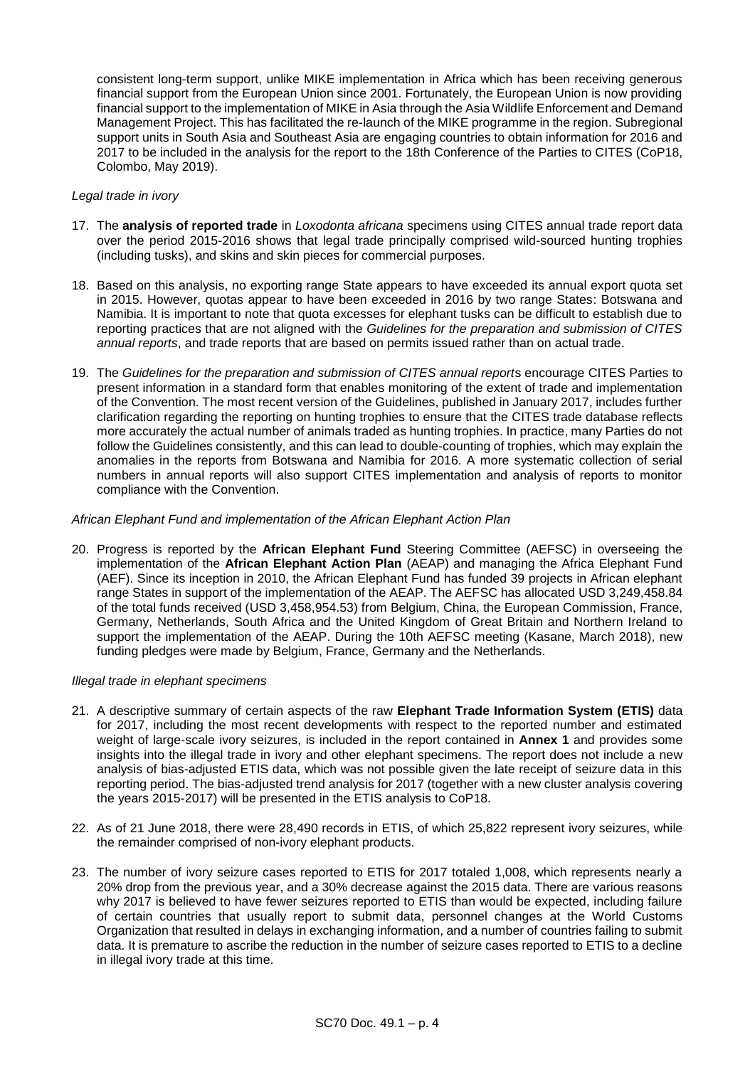consistent long-term support, unlike MIKE implementation in Africa which has been receiving generous financial support from the European Union since 2001. Fortunately, the European Union is now providing financial support to the implementation of MIKE in Asia through the Asia Wildlife Enforcement and Demand Management Project. This has facilitated the re-launch of the MIKE programme in the region. Subregional support units in South Asia and Southeast Asia are engaging countries to obtain information for 2016 and 2017 to be included in the analysis for the report to the 18th Conference of the Parties to CITES (CoP18, Colombo, May 2019).

#### *Legal trade in ivory*

- 17. The **analysis of reported trade** in *Loxodonta africana* specimens using CITES annual trade report data over the period 2015-2016 shows that legal trade principally comprised wild-sourced hunting trophies (including tusks), and skins and skin pieces for commercial purposes.
- 18. Based on this analysis, no exporting range State appears to have exceeded its annual export quota set in 2015. However, quotas appear to have been exceeded in 2016 by two range States: Botswana and Namibia. It is important to note that quota excesses for elephant tusks can be difficult to establish due to reporting practices that are not aligned with the *Guidelines for the preparation and submission of CITES annual reports*, and trade reports that are based on permits issued rather than on actual trade.
- 19. The *Guidelines for the preparation and submission of CITES annual report*s encourage CITES Parties to present information in a standard form that enables monitoring of the extent of trade and implementation of the Convention. The most recent version of the Guidelines, published in January 2017, includes further clarification regarding the reporting on hunting trophies to ensure that the CITES trade database reflects more accurately the actual number of animals traded as hunting trophies. In practice, many Parties do not follow the Guidelines consistently, and this can lead to double-counting of trophies, which may explain the anomalies in the reports from Botswana and Namibia for 2016. A more systematic collection of serial numbers in annual reports will also support CITES implementation and analysis of reports to monitor compliance with the Convention.

## *African Elephant Fund and implementation of the African Elephant Action Plan*

20. Progress is reported by the **African Elephant Fund** Steering Committee (AEFSC) in overseeing the implementation of the **African Elephant Action Plan** (AEAP) and managing the Africa Elephant Fund (AEF). Since its inception in 2010, the African Elephant Fund has funded 39 projects in African elephant range States in support of the implementation of the AEAP. The AEFSC has allocated USD 3,249,458.84 of the total funds received (USD 3,458,954.53) from Belgium, China, the European Commission, France, Germany, Netherlands, South Africa and the United Kingdom of Great Britain and Northern Ireland to support the implementation of the AEAP. During the 10th AEFSC meeting (Kasane, March 2018), new funding pledges were made by Belgium, France, Germany and the Netherlands.

#### *Illegal trade in elephant specimens*

- 21. A descriptive summary of certain aspects of the raw **Elephant Trade Information System (ETIS)** data for 2017, including the most recent developments with respect to the reported number and estimated weight of large-scale ivory seizures, is included in the report contained in **Annex 1** and provides some insights into the illegal trade in ivory and other elephant specimens. The report does not include a new analysis of bias-adjusted ETIS data, which was not possible given the late receipt of seizure data in this reporting period. The bias-adjusted trend analysis for 2017 (together with a new cluster analysis covering the years 2015-2017) will be presented in the ETIS analysis to CoP18.
- 22. As of 21 June 2018, there were 28,490 records in ETIS, of which 25,822 represent ivory seizures, while the remainder comprised of non-ivory elephant products.
- 23. The number of ivory seizure cases reported to ETIS for 2017 totaled 1,008, which represents nearly a 20% drop from the previous year, and a 30% decrease against the 2015 data. There are various reasons why 2017 is believed to have fewer seizures reported to ETIS than would be expected, including failure of certain countries that usually report to submit data, personnel changes at the World Customs Organization that resulted in delays in exchanging information, and a number of countries failing to submit data. It is premature to ascribe the reduction in the number of seizure cases reported to ETIS to a decline in illegal ivory trade at this time.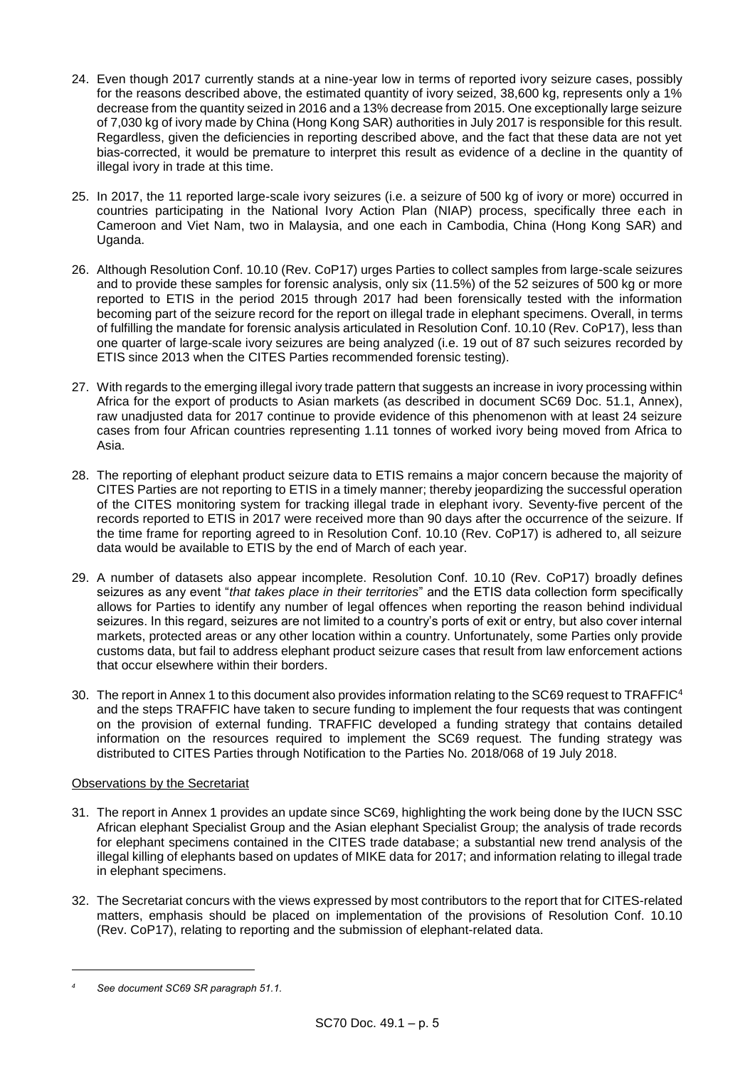- 24. Even though 2017 currently stands at a nine-year low in terms of reported ivory seizure cases, possibly for the reasons described above, the estimated quantity of ivory seized, 38,600 kg, represents only a 1% decrease from the quantity seized in 2016 and a 13% decrease from 2015. One exceptionally large seizure of 7,030 kg of ivory made by China (Hong Kong SAR) authorities in July 2017 is responsible for this result. Regardless, given the deficiencies in reporting described above, and the fact that these data are not yet bias-corrected, it would be premature to interpret this result as evidence of a decline in the quantity of illegal ivory in trade at this time.
- 25. In 2017, the 11 reported large-scale ivory seizures (i.e. a seizure of 500 kg of ivory or more) occurred in countries participating in the National Ivory Action Plan (NIAP) process, specifically three each in Cameroon and Viet Nam, two in Malaysia, and one each in Cambodia, China (Hong Kong SAR) and Uganda.
- 26. Although Resolution Conf. 10.10 (Rev. CoP17) urges Parties to collect samples from large-scale seizures and to provide these samples for forensic analysis, only six (11.5%) of the 52 seizures of 500 kg or more reported to ETIS in the period 2015 through 2017 had been forensically tested with the information becoming part of the seizure record for the report on illegal trade in elephant specimens. Overall, in terms of fulfilling the mandate for forensic analysis articulated in Resolution Conf. 10.10 (Rev. CoP17), less than one quarter of large-scale ivory seizures are being analyzed (i.e. 19 out of 87 such seizures recorded by ETIS since 2013 when the CITES Parties recommended forensic testing).
- 27. With regards to the emerging illegal ivory trade pattern that suggests an increase in ivory processing within Africa for the export of products to Asian markets (as described in document SC69 Doc. 51.1, Annex), raw unadjusted data for 2017 continue to provide evidence of this phenomenon with at least 24 seizure cases from four African countries representing 1.11 tonnes of worked ivory being moved from Africa to Asia.
- 28. The reporting of elephant product seizure data to ETIS remains a major concern because the majority of CITES Parties are not reporting to ETIS in a timely manner; thereby jeopardizing the successful operation of the CITES monitoring system for tracking illegal trade in elephant ivory. Seventy-five percent of the records reported to ETIS in 2017 were received more than 90 days after the occurrence of the seizure. If the time frame for reporting agreed to in Resolution Conf. 10.10 (Rev. CoP17) is adhered to, all seizure data would be available to ETIS by the end of March of each year.
- 29. A number of datasets also appear incomplete. Resolution Conf. 10.10 (Rev. CoP17) broadly defines seizures as any event "*that takes place in their territories*" and the ETIS data collection form specifically allows for Parties to identify any number of legal offences when reporting the reason behind individual seizures. In this regard, seizures are not limited to a country's ports of exit or entry, but also cover internal markets, protected areas or any other location within a country. Unfortunately, some Parties only provide customs data, but fail to address elephant product seizure cases that result from law enforcement actions that occur elsewhere within their borders.
- 30. The report in Annex 1 to this document also provides information relating to the SC69 request to TRAFFIC<sup>4</sup> and the steps TRAFFIC have taken to secure funding to implement the four requests that was contingent on the provision of external funding. TRAFFIC developed a funding strategy that contains detailed information on the resources required to implement the SC69 request. The funding strategy was distributed to CITES Parties through Notification to the Parties No. 2018/068 of 19 July 2018.

# Observations by the Secretariat

- 31. The report in Annex 1 provides an update since SC69, highlighting the work being done by the IUCN SSC African elephant Specialist Group and the Asian elephant Specialist Group; the analysis of trade records for elephant specimens contained in the CITES trade database; a substantial new trend analysis of the illegal killing of elephants based on updates of MIKE data for 2017; and information relating to illegal trade in elephant specimens.
- 32. The Secretariat concurs with the views expressed by most contributors to the report that for CITES-related matters, emphasis should be placed on implementation of the provisions of Resolution Conf. 10.10 (Rev. CoP17), relating to reporting and the submission of elephant-related data.

-

*<sup>4</sup> See document SC69 SR paragraph 51.1.*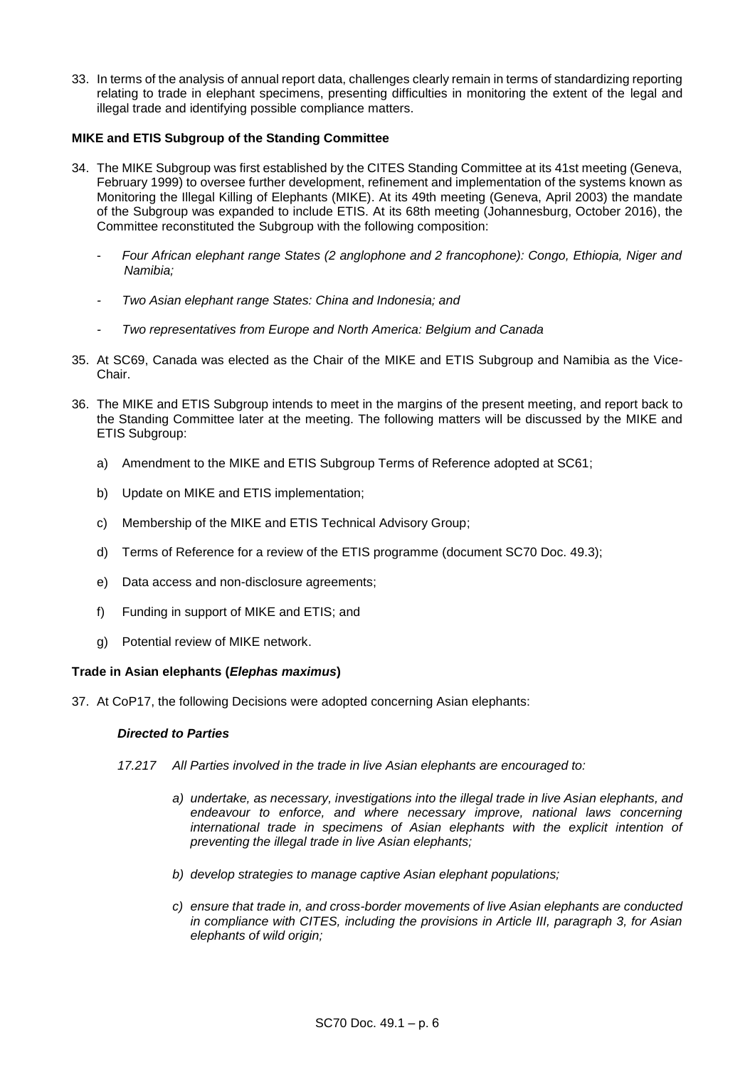33. In terms of the analysis of annual report data, challenges clearly remain in terms of standardizing reporting relating to trade in elephant specimens, presenting difficulties in monitoring the extent of the legal and illegal trade and identifying possible compliance matters.

# **MIKE and ETIS Subgroup of the Standing Committee**

- 34. The MIKE Subgroup was first established by the CITES Standing Committee at its 41st meeting (Geneva, February 1999) to oversee further development, refinement and implementation of the systems known as Monitoring the Illegal Killing of Elephants (MIKE). At its 49th meeting (Geneva, April 2003) the mandate of the Subgroup was expanded to include ETIS. At its 68th meeting (Johannesburg, October 2016), the Committee reconstituted the Subgroup with the following composition:
	- *Four African elephant range States (2 anglophone and 2 francophone): Congo, Ethiopia, Niger and Namibia;*
	- *- Two Asian elephant range States: China and Indonesia; and*
	- *- Two representatives from Europe and North America: Belgium and Canada*
- 35. At SC69, Canada was elected as the Chair of the MIKE and ETIS Subgroup and Namibia as the Vice-Chair.
- 36. The MIKE and ETIS Subgroup intends to meet in the margins of the present meeting, and report back to the Standing Committee later at the meeting. The following matters will be discussed by the MIKE and ETIS Subgroup:
	- a) Amendment to the MIKE and ETIS Subgroup Terms of Reference adopted at SC61;
	- b) Update on MIKE and ETIS implementation;
	- c) Membership of the MIKE and ETIS Technical Advisory Group;
	- d) Terms of Reference for a review of the ETIS programme (document SC70 Doc. 49.3);
	- e) Data access and non-disclosure agreements;
	- f) Funding in support of MIKE and ETIS; and
	- g) Potential review of MIKE network.

#### **Trade in Asian elephants (***Elephas maximus***)**

37. At CoP17, the following Decisions were adopted concerning Asian elephants:

#### *Directed to Parties*

- *17.217 All Parties involved in the trade in live Asian elephants are encouraged to:* 
	- *a) undertake, as necessary, investigations into the illegal trade in live Asian elephants, and endeavour to enforce, and where necessary improve, national laws concerning international trade in specimens of Asian elephants with the explicit intention of preventing the illegal trade in live Asian elephants;*
	- *b) develop strategies to manage captive Asian elephant populations;*
	- *c) ensure that trade in, and cross-border movements of live Asian elephants are conducted in compliance with CITES, including the provisions in Article III, paragraph 3, for Asian elephants of wild origin;*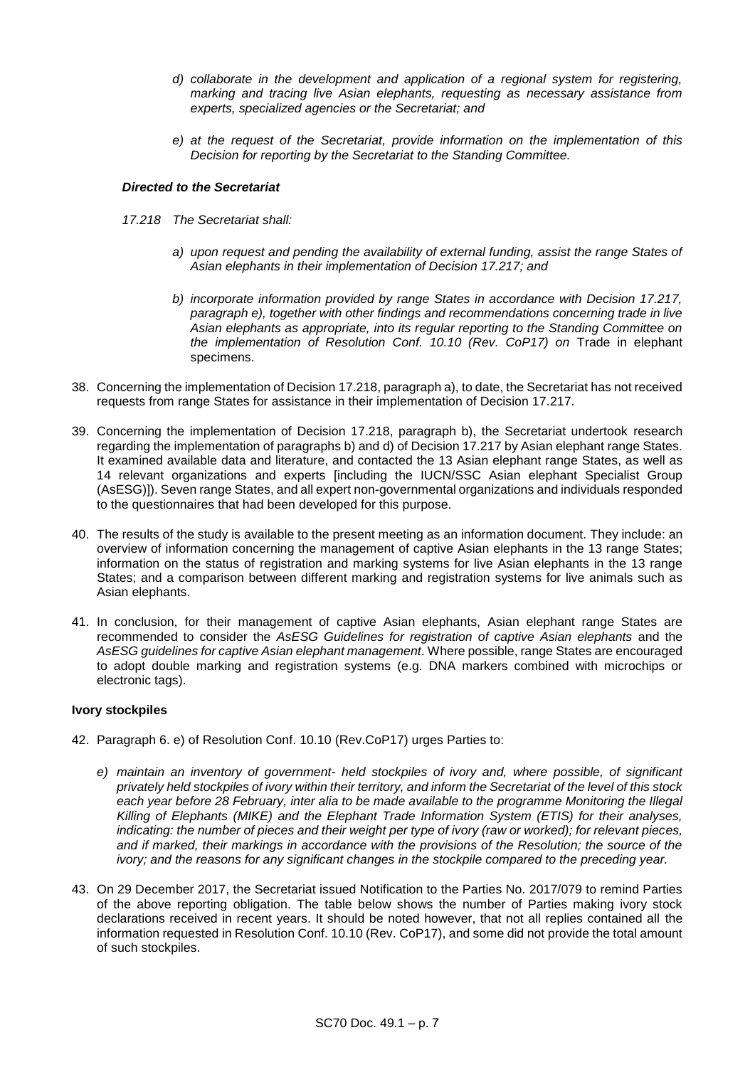- *d) collaborate in the development and application of a regional system for registering, marking and tracing live Asian elephants, requesting as necessary assistance from experts, specialized agencies or the Secretariat; and*
- *e) at the request of the Secretariat, provide information on the implementation of this Decision for reporting by the Secretariat to the Standing Committee.*

### *Directed to the Secretariat*

- *17.218 The Secretariat shall:* 
	- *a) upon request and pending the availability of external funding, assist the range States of Asian elephants in their implementation of Decision 17.217; and*
	- *b) incorporate information provided by range States in accordance with Decision 17.217, paragraph e), together with other findings and recommendations concerning trade in live Asian elephants as appropriate, into its regular reporting to the Standing Committee on the implementation of Resolution Conf. 10.10 (Rev. CoP17) on* Trade in elephant specimens.
- 38. Concerning the implementation of Decision 17.218, paragraph a), to date, the Secretariat has not received requests from range States for assistance in their implementation of Decision 17.217.
- 39. Concerning the implementation of Decision 17.218, paragraph b), the Secretariat undertook research regarding the implementation of paragraphs b) and d) of Decision 17.217 by Asian elephant range States. It examined available data and literature, and contacted the 13 Asian elephant range States, as well as 14 relevant organizations and experts [including the IUCN/SSC Asian elephant Specialist Group (AsESG)]). Seven range States, and all expert non-governmental organizations and individuals responded to the questionnaires that had been developed for this purpose.
- 40. The results of the study is available to the present meeting as an information document. They include: an overview of information concerning the management of captive Asian elephants in the 13 range States; information on the status of registration and marking systems for live Asian elephants in the 13 range States; and a comparison between different marking and registration systems for live animals such as Asian elephants.
- 41. In conclusion, for their management of captive Asian elephants, Asian elephant range States are recommended to consider the *AsESG Guidelines for registration of captive Asian elephants* and the *AsESG guidelines for captive Asian elephant management*. Where possible, range States are encouraged to adopt double marking and registration systems (e.g. DNA markers combined with microchips or electronic tags).

#### **Ivory stockpiles**

- 42. Paragraph 6. e) of Resolution Conf. 10.10 (Rev.CoP17) urges Parties to:
	- *e) maintain an inventory of government- held stockpiles of ivory and, where possible, of significant privately held stockpiles of ivory within their territory, and inform the Secretariat of the level of this stock each year before 28 February, inter alia to be made available to the programme Monitoring the Illegal Killing of Elephants (MIKE) and the Elephant Trade Information System (ETIS) for their analyses, indicating: the number of pieces and their weight per type of ivory (raw or worked); for relevant pieces, and if marked, their markings in accordance with the provisions of the Resolution; the source of the ivory; and the reasons for any significant changes in the stockpile compared to the preceding year.*
- 43. On 29 December 2017, the Secretariat issued Notification to the Parties No. 2017/079 to remind Parties of the above reporting obligation. The table below shows the number of Parties making ivory stock declarations received in recent years. It should be noted however, that not all replies contained all the information requested in Resolution Conf. 10.10 (Rev. CoP17), and some did not provide the total amount of such stockpiles.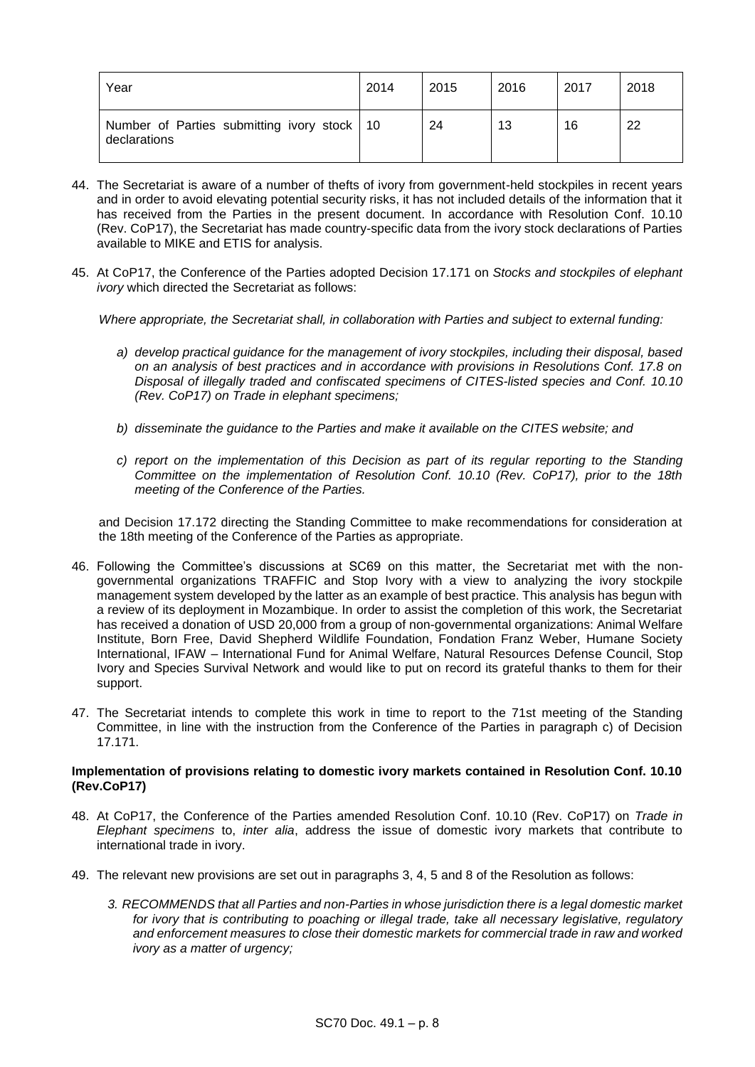| Year                                                          | 2014 | 2015 | 2016 | 2017 | 2018 |
|---------------------------------------------------------------|------|------|------|------|------|
| Number of Parties submitting ivory stock   10<br>declarations |      | 24   | 13   | 16   | 22   |

- 44. The Secretariat is aware of a number of thefts of ivory from government-held stockpiles in recent years and in order to avoid elevating potential security risks, it has not included details of the information that it has received from the Parties in the present document. In accordance with Resolution Conf. 10.10 (Rev. CoP17), the Secretariat has made country-specific data from the ivory stock declarations of Parties available to MIKE and ETIS for analysis.
- 45. At CoP17, the Conference of the Parties adopted Decision 17.171 on *Stocks and stockpiles of elephant ivory* which directed the Secretariat as follows:

*Where appropriate, the Secretariat shall, in collaboration with Parties and subject to external funding:* 

- *a) develop practical guidance for the management of ivory stockpiles, including their disposal, based on an analysis of best practices and in accordance with provisions in Resolutions Conf. 17.8 on Disposal of illegally traded and confiscated specimens of CITES-listed species and Conf. 10.10 (Rev. CoP17) on Trade in elephant specimens;*
- *b) disseminate the guidance to the Parties and make it available on the CITES website; and*
- *c) report on the implementation of this Decision as part of its regular reporting to the Standing Committee on the implementation of Resolution Conf. 10.10 (Rev. CoP17), prior to the 18th meeting of the Conference of the Parties.*

and Decision 17.172 directing the Standing Committee to make recommendations for consideration at the 18th meeting of the Conference of the Parties as appropriate.

- 46. Following the Committee's discussions at SC69 on this matter, the Secretariat met with the nongovernmental organizations TRAFFIC and Stop Ivory with a view to analyzing the ivory stockpile management system developed by the latter as an example of best practice. This analysis has begun with a review of its deployment in Mozambique. In order to assist the completion of this work, the Secretariat has received a donation of USD 20,000 from a group of non-governmental organizations: Animal Welfare Institute, Born Free, David Shepherd Wildlife Foundation, Fondation Franz Weber, Humane Society International, IFAW – International Fund for Animal Welfare, Natural Resources Defense Council, Stop Ivory and Species Survival Network and would like to put on record its grateful thanks to them for their support.
- 47. The Secretariat intends to complete this work in time to report to the 71st meeting of the Standing Committee, in line with the instruction from the Conference of the Parties in paragraph c) of Decision 17.171.

#### **Implementation of provisions relating to domestic ivory markets contained in Resolution Conf. 10.10 (Rev.CoP17)**

- 48. At CoP17, the Conference of the Parties amended Resolution Conf. 10.10 (Rev. CoP17) on *Trade in Elephant specimens* to, *inter alia*, address the issue of domestic ivory markets that contribute to international trade in ivory.
- 49. The relevant new provisions are set out in paragraphs 3, 4, 5 and 8 of the Resolution as follows:
	- *3. RECOMMENDS that all Parties and non-Parties in whose jurisdiction there is a legal domestic market for ivory that is contributing to poaching or illegal trade, take all necessary legislative, regulatory and enforcement measures to close their domestic markets for commercial trade in raw and worked ivory as a matter of urgency;*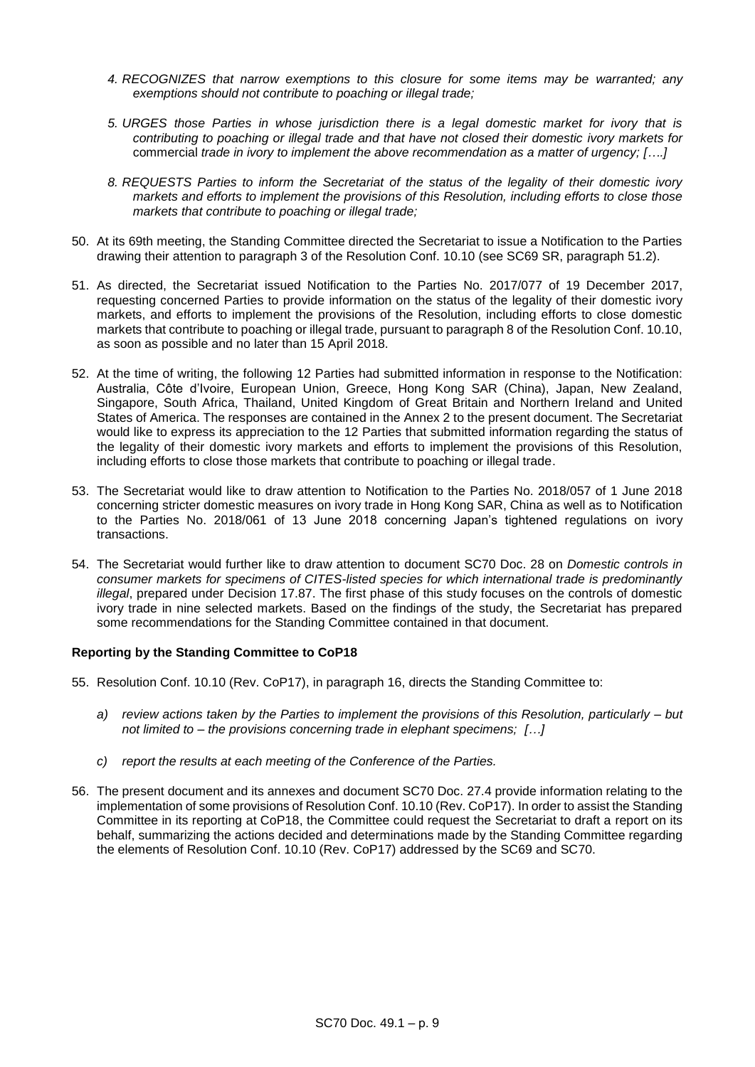- *4. RECOGNIZES that narrow exemptions to this closure for some items may be warranted; any exemptions should not contribute to poaching or illegal trade;*
- *5. URGES those Parties in whose jurisdiction there is a legal domestic market for ivory that is contributing to poaching or illegal trade and that have not closed their domestic ivory markets for*  commercial *trade in ivory to implement the above recommendation as a matter of urgency; [….]*
- *8. REQUESTS Parties to inform the Secretariat of the status of the legality of their domestic ivory markets and efforts to implement the provisions of this Resolution, including efforts to close those markets that contribute to poaching or illegal trade;*
- 50. At its 69th meeting, the Standing Committee directed the Secretariat to issue a Notification to the Parties drawing their attention to paragraph 3 of the Resolution Conf. 10.10 (see SC69 SR, paragraph 51.2).
- 51. As directed, the Secretariat issued Notification to the Parties No. 2017/077 of 19 December 2017, requesting concerned Parties to provide information on the status of the legality of their domestic ivory markets, and efforts to implement the provisions of the Resolution, including efforts to close domestic markets that contribute to poaching or illegal trade, pursuant to paragraph 8 of the Resolution Conf. 10.10, as soon as possible and no later than 15 April 2018.
- 52. At the time of writing, the following 12 Parties had submitted information in response to the Notification: Australia, Côte d'Ivoire, European Union, Greece, Hong Kong SAR (China), Japan, New Zealand, Singapore, South Africa, Thailand, United Kingdom of Great Britain and Northern Ireland and United States of America. The responses are contained in the Annex 2 to the present document. The Secretariat would like to express its appreciation to the 12 Parties that submitted information regarding the status of the legality of their domestic ivory markets and efforts to implement the provisions of this Resolution, including efforts to close those markets that contribute to poaching or illegal trade.
- 53. The Secretariat would like to draw attention to Notification to the Parties No. 2018/057 of 1 June 2018 concerning stricter domestic measures on ivory trade in Hong Kong SAR, China as well as to Notification to the Parties No. 2018/061 of 13 June 2018 concerning Japan's tightened regulations on ivory transactions.
- 54. The Secretariat would further like to draw attention to document SC70 Doc. 28 on *Domestic controls in consumer markets for specimens of CITES-listed species for which international trade is predominantly illegal*, prepared under Decision 17.87. The first phase of this study focuses on the controls of domestic ivory trade in nine selected markets. Based on the findings of the study, the Secretariat has prepared some recommendations for the Standing Committee contained in that document.

#### **Reporting by the Standing Committee to CoP18**

- 55. Resolution Conf. 10.10 (Rev. CoP17), in paragraph 16, directs the Standing Committee to:
	- *a) review actions taken by the Parties to implement the provisions of this Resolution, particularly – but not limited to – the provisions concerning trade in elephant specimens; […]*
	- *c) report the results at each meeting of the Conference of the Parties.*
- 56. The present document and its annexes and document SC70 Doc. 27.4 provide information relating to the implementation of some provisions of Resolution Conf. 10.10 (Rev. CoP17). In order to assist the Standing Committee in its reporting at CoP18, the Committee could request the Secretariat to draft a report on its behalf, summarizing the actions decided and determinations made by the Standing Committee regarding the elements of Resolution Conf. 10.10 (Rev. CoP17) addressed by the SC69 and SC70.